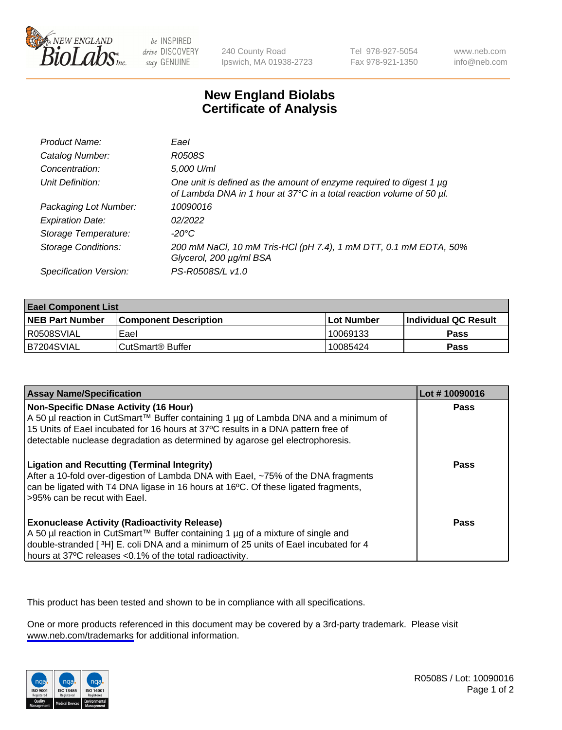

be INSPIRED drive DISCOVERY stay GENUINE

240 County Road Ipswich, MA 01938-2723 Tel 978-927-5054 Fax 978-921-1350

www.neb.com info@neb.com

## **New England Biolabs Certificate of Analysis**

| Product Name:              | Eael                                                                                                                                        |
|----------------------------|---------------------------------------------------------------------------------------------------------------------------------------------|
| Catalog Number:            | R0508S                                                                                                                                      |
| Concentration:             | 5,000 U/ml                                                                                                                                  |
| Unit Definition:           | One unit is defined as the amount of enzyme required to digest 1 µg<br>of Lambda DNA in 1 hour at 37°C in a total reaction volume of 50 µl. |
| Packaging Lot Number:      | 10090016                                                                                                                                    |
| <b>Expiration Date:</b>    | 02/2022                                                                                                                                     |
| Storage Temperature:       | $-20^{\circ}$ C                                                                                                                             |
| <b>Storage Conditions:</b> | 200 mM NaCl, 10 mM Tris-HCl (pH 7.4), 1 mM DTT, 0.1 mM EDTA, 50%<br>Glycerol, 200 µg/ml BSA                                                 |
| Specification Version:     | PS-R0508S/L v1.0                                                                                                                            |

| <b>Eael Component List</b> |                              |             |                             |  |
|----------------------------|------------------------------|-------------|-----------------------------|--|
| <b>NEB Part Number</b>     | <b>Component Description</b> | ⊺Lot Number | <b>Individual QC Result</b> |  |
| I R0508SVIAL               | Eael                         | 10069133    | Pass                        |  |
| B7204SVIAL                 | l CutSmart® Buffer           | 10085424    | Pass                        |  |

| <b>Assay Name/Specification</b>                                                                                                                                                                                                                                                                   | Lot #10090016 |
|---------------------------------------------------------------------------------------------------------------------------------------------------------------------------------------------------------------------------------------------------------------------------------------------------|---------------|
| Non-Specific DNase Activity (16 Hour)<br>A 50 µl reaction in CutSmart™ Buffer containing 1 µg of Lambda DNA and a minimum of<br>15 Units of Eael incubated for 16 hours at 37°C results in a DNA pattern free of<br>detectable nuclease degradation as determined by agarose gel electrophoresis. | <b>Pass</b>   |
| <b>Ligation and Recutting (Terminal Integrity)</b><br>After a 10-fold over-digestion of Lambda DNA with Eael, ~75% of the DNA fragments<br>can be ligated with T4 DNA ligase in 16 hours at 16°C. Of these ligated fragments,<br>-95% can be recut with Eael.                                     | Pass          |
| <b>Exonuclease Activity (Radioactivity Release)</b><br>A 50 µl reaction in CutSmart™ Buffer containing 1 µg of a mixture of single and<br>double-stranded [3H] E. coli DNA and a minimum of 25 units of Eael incubated for 4<br>hours at 37°C releases <0.1% of the total radioactivity.          | Pass          |

This product has been tested and shown to be in compliance with all specifications.

One or more products referenced in this document may be covered by a 3rd-party trademark. Please visit <www.neb.com/trademarks>for additional information.